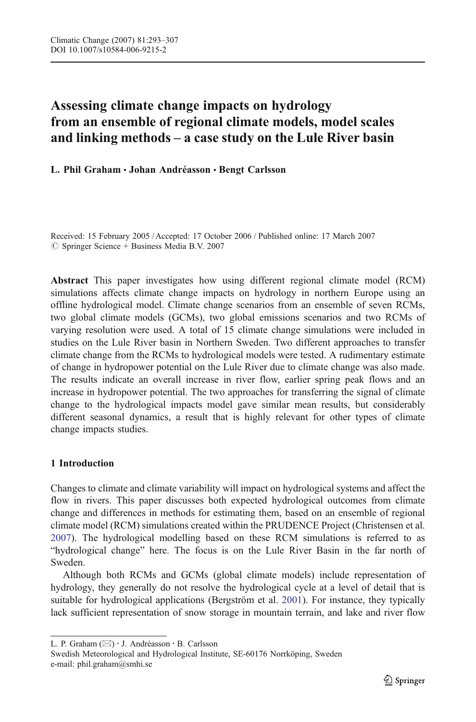# Assessing climate change impacts on hydrology from an ensemble of regional climate models, model scales and linking methods – a case study on the Lule River basin

L. Phil Graham · Johan Andréasson · Bengt Carlsson

Received: 15 February 2005 / Accepted: 17 October 2006 / Published online: 17 March 2007  $\circledcirc$  Springer Science + Business Media B.V. 2007

Abstract This paper investigates how using different regional climate model (RCM) simulations affects climate change impacts on hydrology in northern Europe using an offline hydrological model. Climate change scenarios from an ensemble of seven RCMs, two global climate models (GCMs), two global emissions scenarios and two RCMs of varying resolution were used. A total of 15 climate change simulations were included in studies on the Lule River basin in Northern Sweden. Two different approaches to transfer climate change from the RCMs to hydrological models were tested. A rudimentary estimate of change in hydropower potential on the Lule River due to climate change was also made. The results indicate an overall increase in river flow, earlier spring peak flows and an increase in hydropower potential. The two approaches for transferring the signal of climate change to the hydrological impacts model gave similar mean results, but considerably different seasonal dynamics, a result that is highly relevant for other types of climate change impacts studies.

# 1 Introduction

Changes to climate and climate variability will impact on hydrological systems and affect the flow in rivers. This paper discusses both expected hydrological outcomes from climate change and differences in methods for estimating them, based on an ensemble of regional climate model (RCM) simulations created within the PRUDENCE Project (Christensen et al. [2007\)](#page-14-0). The hydrological modelling based on these RCM simulations is referred to as "hydrological change" here. The focus is on the Lule River Basin in the far north of Sweden.

Although both RCMs and GCMs (global climate models) include representation of hydrology, they generally do not resolve the hydrological cycle at a level of detail that is suitable for hydrological applications (Bergström et al. [2001](#page-14-0)). For instance, they typically lack sufficient representation of snow storage in mountain terrain, and lake and river flow

Swedish Meteorological and Hydrological Institute, SE-60176 Norrköping, Sweden e-mail: phil.graham@smhi.se

L. P. Graham (⊠) · J. Andréasson · B. Carlsson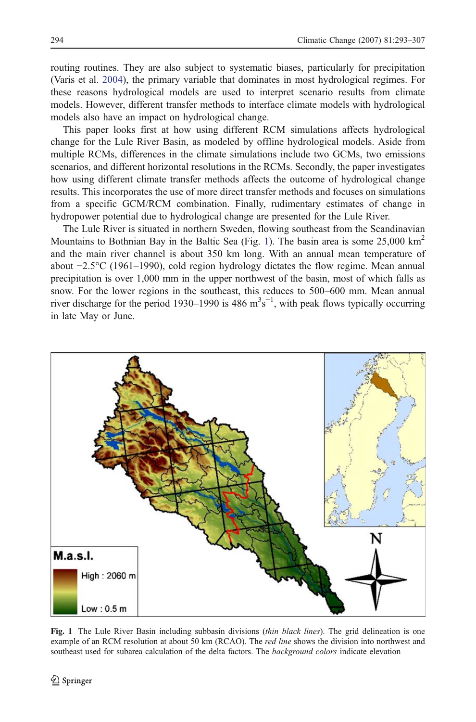<span id="page-1-0"></span>routing routines. They are also subject to systematic biases, particularly for precipitation (Varis et al. [2004](#page-14-0)), the primary variable that dominates in most hydrological regimes. For these reasons hydrological models are used to interpret scenario results from climate models. However, different transfer methods to interface climate models with hydrological models also have an impact on hydrological change.

This paper looks first at how using different RCM simulations affects hydrological change for the Lule River Basin, as modeled by offline hydrological models. Aside from multiple RCMs, differences in the climate simulations include two GCMs, two emissions scenarios, and different horizontal resolutions in the RCMs. Secondly, the paper investigates how using different climate transfer methods affects the outcome of hydrological change results. This incorporates the use of more direct transfer methods and focuses on simulations from a specific GCM/RCM combination. Finally, rudimentary estimates of change in hydropower potential due to hydrological change are presented for the Lule River.

The Lule River is situated in northern Sweden, flowing southeast from the Scandinavian Mountains to Bothnian Bay in the Baltic Sea (Fig. 1). The basin area is some  $25,000 \text{ km}^2$ and the main river channel is about 350 km long. With an annual mean temperature of about −2.5°C (1961–1990), cold region hydrology dictates the flow regime. Mean annual precipitation is over 1,000 mm in the upper northwest of the basin, most of which falls as snow. For the lower regions in the southeast, this reduces to 500–600 mm. Mean annual river discharge for the period 1930–1990 is 486  $m<sup>3</sup>s<sup>-1</sup>$ , with peak flows typically occurring in late May or June.



Fig. 1 The Lule River Basin including subbasin divisions (thin black lines). The grid delineation is one example of an RCM resolution at about 50 km (RCAO). The *red line* shows the division into northwest and southeast used for subarea calculation of the delta factors. The *background colors* indicate elevation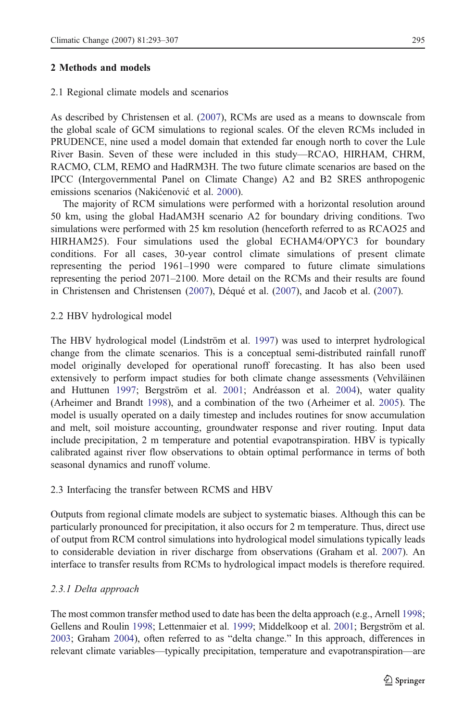## 2.1 Regional climate models and scenarios

As described by Christensen et al. [\(2007\)](#page-14-0), RCMs are used as a means to downscale from the global scale of GCM simulations to regional scales. Of the eleven RCMs included in PRUDENCE, nine used a model domain that extended far enough north to cover the Lule River Basin. Seven of these were included in this study—RCAO, HIRHAM, CHRM, RACMO, CLM, REMO and HadRM3H. The two future climate scenarios are based on the IPCC (Intergovernmental Panel on Climate Change) A2 and B2 SRES anthropogenic emissions scenarios (Nakićenović et al. [2000](#page-14-0)).

The majority of RCM simulations were performed with a horizontal resolution around 50 km, using the global HadAM3H scenario A2 for boundary driving conditions. Two simulations were performed with 25 km resolution (henceforth referred to as RCAO25 and HIRHAM25). Four simulations used the global ECHAM4/OPYC3 for boundary conditions. For all cases, 30-year control climate simulations of present climate representing the period 1961–1990 were compared to future climate simulations representing the period 2071–2100. More detail on the RCMs and their results are found in Christensen and Christensen [\(2007](#page-14-0)), Déqué et al. ([2007](#page-14-0)), and Jacob et al. [\(2007](#page-14-0)).

# 2.2 HBV hydrological model

The HBV hydrological model (Lindström et al. [1997\)](#page-14-0) was used to interpret hydrological change from the climate scenarios. This is a conceptual semi-distributed rainfall runoff model originally developed for operational runoff forecasting. It has also been used extensively to perform impact studies for both climate change assessments (Vehviläinen and Huttunen [1997;](#page-14-0) Bergström et al. [2001;](#page-14-0) Andréasson et al. [2004](#page-13-0)), water quality (Arheimer and Brandt [1998\)](#page-13-0), and a combination of the two (Arheimer et al. [2005\)](#page-14-0). The model is usually operated on a daily timestep and includes routines for snow accumulation and melt, soil moisture accounting, groundwater response and river routing. Input data include precipitation, 2 m temperature and potential evapotranspiration. HBV is typically calibrated against river flow observations to obtain optimal performance in terms of both seasonal dynamics and runoff volume.

## 2.3 Interfacing the transfer between RCMS and HBV

Outputs from regional climate models are subject to systematic biases. Although this can be particularly pronounced for precipitation, it also occurs for 2 m temperature. Thus, direct use of output from RCM control simulations into hydrological model simulations typically leads to considerable deviation in river discharge from observations (Graham et al. [2007\)](#page-14-0). An interface to transfer results from RCMs to hydrological impact models is therefore required.

## 2.3.1 Delta approach

The most common transfer method used to date has been the delta approach (e.g., Arnell [1998](#page-14-0); Gellens and Roulin [1998;](#page-14-0) Lettenmaier et al. [1999](#page-14-0); Middelkoop et al. [2001](#page-14-0); Bergström et al. [2003](#page-14-0); Graham [2004\)](#page-14-0), often referred to as "delta change." In this approach, differences in relevant climate variables—typically precipitation, temperature and evapotranspiration—are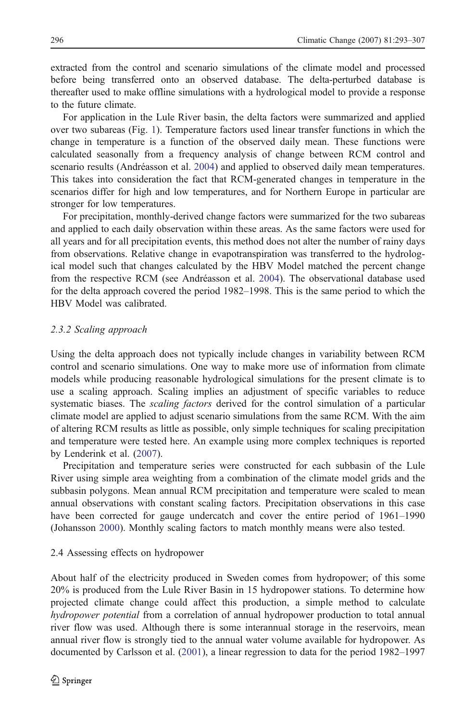extracted from the control and scenario simulations of the climate model and processed before being transferred onto an observed database. The delta-perturbed database is thereafter used to make offline simulations with a hydrological model to provide a response to the future climate.

For application in the Lule River basin, the delta factors were summarized and applied over two subareas (Fig. [1](#page-1-0)). Temperature factors used linear transfer functions in which the change in temperature is a function of the observed daily mean. These functions were calculated seasonally from a frequency analysis of change between RCM control and scenario results (Andréasson et al. [2004](#page-13-0)) and applied to observed daily mean temperatures. This takes into consideration the fact that RCM-generated changes in temperature in the scenarios differ for high and low temperatures, and for Northern Europe in particular are stronger for low temperatures.

For precipitation, monthly-derived change factors were summarized for the two subareas and applied to each daily observation within these areas. As the same factors were used for all years and for all precipitation events, this method does not alter the number of rainy days from observations. Relative change in evapotranspiration was transferred to the hydrological model such that changes calculated by the HBV Model matched the percent change from the respective RCM (see Andréasson et al. [2004](#page-13-0)). The observational database used for the delta approach covered the period 1982–1998. This is the same period to which the HBV Model was calibrated.

# 2.3.2 Scaling approach

Using the delta approach does not typically include changes in variability between RCM control and scenario simulations. One way to make more use of information from climate models while producing reasonable hydrological simulations for the present climate is to use a scaling approach. Scaling implies an adjustment of specific variables to reduce systematic biases. The *scaling factors* derived for the control simulation of a particular climate model are applied to adjust scenario simulations from the same RCM. With the aim of altering RCM results as little as possible, only simple techniques for scaling precipitation and temperature were tested here. An example using more complex techniques is reported by Lenderink et al. [\(2007](#page-14-0)).

Precipitation and temperature series were constructed for each subbasin of the Lule River using simple area weighting from a combination of the climate model grids and the subbasin polygons. Mean annual RCM precipitation and temperature were scaled to mean annual observations with constant scaling factors. Precipitation observations in this case have been corrected for gauge undercatch and cover the entire period of 1961–1990 (Johansson [2000\)](#page-14-0). Monthly scaling factors to match monthly means were also tested.

#### 2.4 Assessing effects on hydropower

About half of the electricity produced in Sweden comes from hydropower; of this some 20% is produced from the Lule River Basin in 15 hydropower stations. To determine how projected climate change could affect this production, a simple method to calculate hydropower potential from a correlation of annual hydropower production to total annual river flow was used. Although there is some interannual storage in the reservoirs, mean annual river flow is strongly tied to the annual water volume available for hydropower. As documented by Carlsson et al. ([2001\)](#page-14-0), a linear regression to data for the period 1982–1997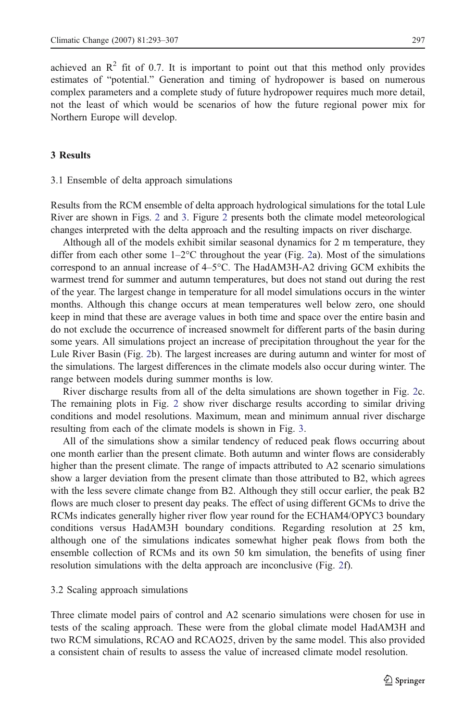achieved an  $\mathbb{R}^2$  fit of 0.7. It is important to point out that this method only provides estimates of "potential." Generation and timing of hydropower is based on numerous complex parameters and a complete study of future hydropower requires much more detail, not the least of which would be scenarios of how the future regional power mix for Northern Europe will develop.

## 3 Results

#### 3.1 Ensemble of delta approach simulations

Results from the RCM ensemble of delta approach hydrological simulations for the total Lule River are shown in Figs. [2](#page-5-0) and [3.](#page-6-0) Figure [2](#page-5-0) presents both the climate model meteorological changes interpreted with the delta approach and the resulting impacts on river discharge.

Although all of the models exhibit similar seasonal dynamics for 2 m temperature, they differ from each other some  $1-2$ °C throughout the year (Fig. [2a](#page-5-0)). Most of the simulations correspond to an annual increase of 4–5°C. The HadAM3H-A2 driving GCM exhibits the warmest trend for summer and autumn temperatures, but does not stand out during the rest of the year. The largest change in temperature for all model simulations occurs in the winter months. Although this change occurs at mean temperatures well below zero, one should keep in mind that these are average values in both time and space over the entire basin and do not exclude the occurrence of increased snowmelt for different parts of the basin during some years. All simulations project an increase of precipitation throughout the year for the Lule River Basin (Fig. [2b](#page-5-0)). The largest increases are during autumn and winter for most of the simulations. The largest differences in the climate models also occur during winter. The range between models during summer months is low.

River discharge results from all of the delta simulations are shown together in Fig. [2](#page-5-0)c. The remaining plots in Fig. [2](#page-5-0) show river discharge results according to similar driving conditions and model resolutions. Maximum, mean and minimum annual river discharge resulting from each of the climate models is shown in Fig. [3.](#page-6-0)

All of the simulations show a similar tendency of reduced peak flows occurring about one month earlier than the present climate. Both autumn and winter flows are considerably higher than the present climate. The range of impacts attributed to A2 scenario simulations show a larger deviation from the present climate than those attributed to B2, which agrees with the less severe climate change from B2. Although they still occur earlier, the peak B2 flows are much closer to present day peaks. The effect of using different GCMs to drive the RCMs indicates generally higher river flow year round for the ECHAM4/OPYC3 boundary conditions versus HadAM3H boundary conditions. Regarding resolution at 25 km, although one of the simulations indicates somewhat higher peak flows from both the ensemble collection of RCMs and its own 50 km simulation, the benefits of using finer resolution simulations with the delta approach are inconclusive (Fig. [2](#page-5-0)f).

#### 3.2 Scaling approach simulations

Three climate model pairs of control and A2 scenario simulations were chosen for use in tests of the scaling approach. These were from the global climate model HadAM3H and two RCM simulations, RCAO and RCAO25, driven by the same model. This also provided a consistent chain of results to assess the value of increased climate model resolution.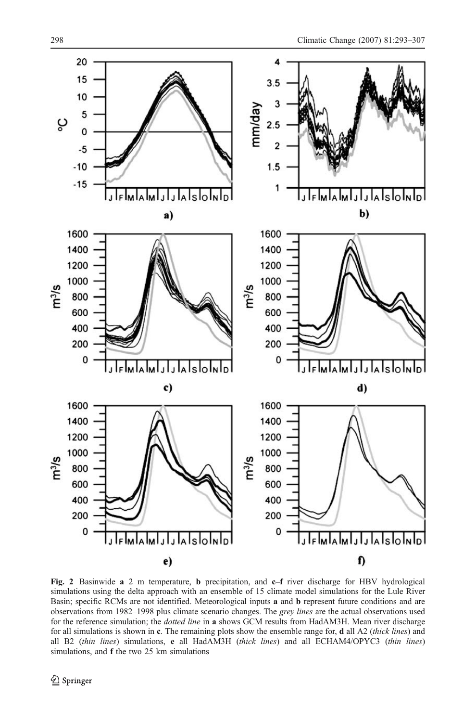<span id="page-5-0"></span>

Fig. 2 Basinwide a 2 m temperature, b precipitation, and c–f river discharge for HBV hydrological simulations using the delta approach with an ensemble of 15 climate model simulations for the Lule River Basin; specific RCMs are not identified. Meteorological inputs a and b represent future conditions and are observations from 1982–1998 plus climate scenario changes. The grey lines are the actual observations used for the reference simulation; the dotted line in a shows GCM results from HadAM3H. Mean river discharge for all simulations is shown in c. The remaining plots show the ensemble range for, d all A2 (thick lines) and all B2 (thin lines) simulations, e all HadAM3H (thick lines) and all ECHAM4/OPYC3 (thin lines) simulations, and **f** the two 25 km simulations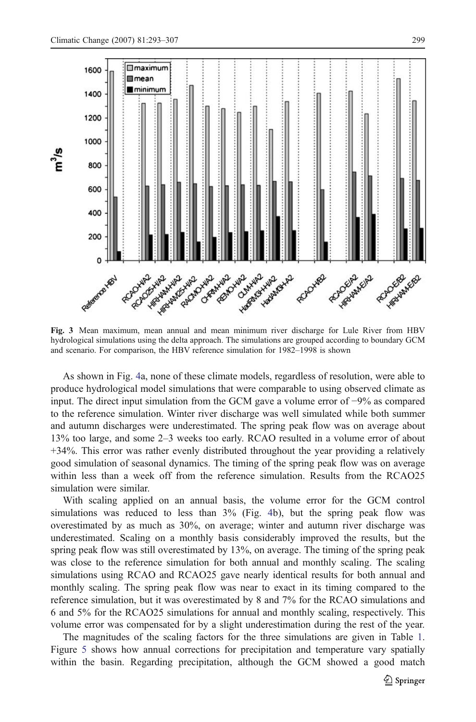<span id="page-6-0"></span>

Fig. 3 Mean maximum, mean annual and mean minimum river discharge for Lule River from HBV hydrological simulations using the delta approach. The simulations are grouped according to boundary GCM and scenario. For comparison, the HBV reference simulation for 1982–1998 is shown

As shown in Fig. [4](#page-8-0)a, none of these climate models, regardless of resolution, were able to produce hydrological model simulations that were comparable to using observed climate as input. The direct input simulation from the GCM gave a volume error of −9% as compared to the reference simulation. Winter river discharge was well simulated while both summer and autumn discharges were underestimated. The spring peak flow was on average about 13% too large, and some 2–3 weeks too early. RCAO resulted in a volume error of about +34%. This error was rather evenly distributed throughout the year providing a relatively good simulation of seasonal dynamics. The timing of the spring peak flow was on average within less than a week off from the reference simulation. Results from the RCAO25 simulation were similar.

With scaling applied on an annual basis, the volume error for the GCM control simulations was reduced to less than 3% (Fig. [4](#page-8-0)b), but the spring peak flow was overestimated by as much as 30%, on average; winter and autumn river discharge was underestimated. Scaling on a monthly basis considerably improved the results, but the spring peak flow was still overestimated by 13%, on average. The timing of the spring peak was close to the reference simulation for both annual and monthly scaling. The scaling simulations using RCAO and RCAO25 gave nearly identical results for both annual and monthly scaling. The spring peak flow was near to exact in its timing compared to the reference simulation, but it was overestimated by 8 and 7% for the RCAO simulations and 6 and 5% for the RCAO25 simulations for annual and monthly scaling, respectively. This volume error was compensated for by a slight underestimation during the rest of the year.

The magnitudes of the scaling factors for the three simulations are given in Table [1](#page-8-0). Figure [5](#page-9-0) shows how annual corrections for precipitation and temperature vary spatially within the basin. Regarding precipitation, although the GCM showed a good match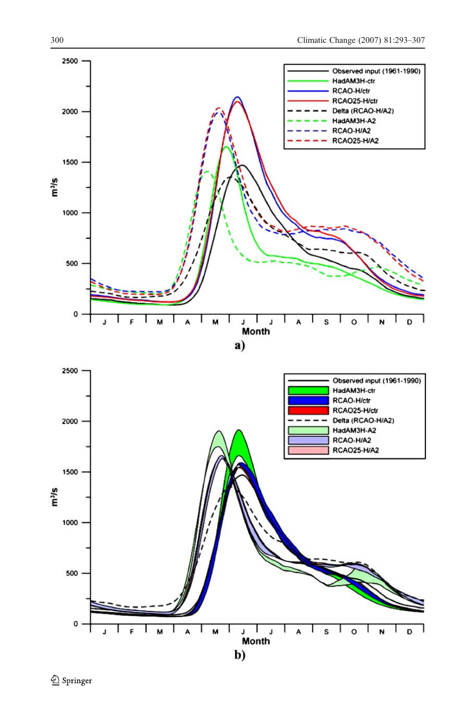

Springer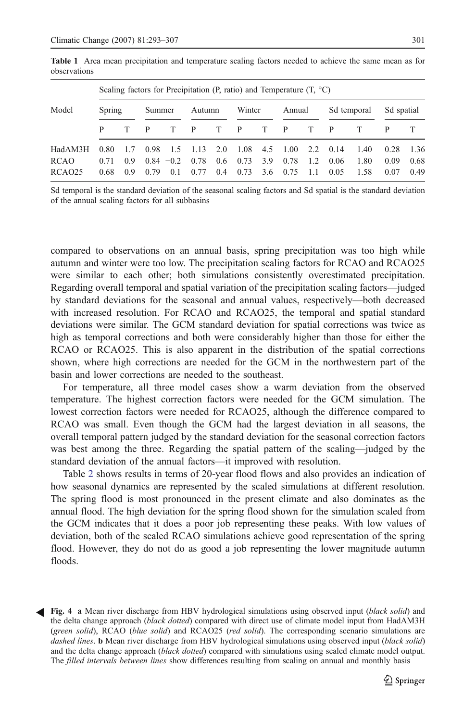| Model               | Scaling factors for Precipitation (P, ratio) and Temperature $(T, {}^{\circ}C)$ |     |              |     |        |     |                 |     |        |     |              |      |            |      |
|---------------------|---------------------------------------------------------------------------------|-----|--------------|-----|--------|-----|-----------------|-----|--------|-----|--------------|------|------------|------|
|                     | Spring                                                                          |     | Summer       |     | Autumn |     | Winter          |     | Annual |     | Sd temporal  |      | Sd spatial |      |
|                     |                                                                                 |     |              |     | P      | T   | P               | T   | P      | T   | <sup>P</sup> |      |            |      |
| HadAM3H             | 0.80                                                                            | 1.7 | 0.98         | 1.5 | 1.13   | 2.0 | $1.08$ 4.5 1.00 |     |        | 2.2 | 0.14         | 1.40 | 0.28       | 1.36 |
| <b>RCAO</b>         | 0.71                                                                            | 09  | $0.84 - 0.2$ |     | 0.78   | 0.6 | 0.73            | 3.9 | 0.78   | 1.2 | 0.06         | 1.80 | 0.09       | 0.68 |
| RCA <sub>O</sub> 25 | 0.68                                                                            | 09  | 0.79         | 0.1 | 0.77   | 0.4 | 0.73            | 3.6 | 0.75   | 1.1 | 0.05         | 1.58 | 0.07       | 0.49 |

<span id="page-8-0"></span>Table 1 Area mean precipitation and temperature scaling factors needed to achieve the same mean as for observations

Sd temporal is the standard deviation of the seasonal scaling factors and Sd spatial is the standard deviation of the annual scaling factors for all subbasins

compared to observations on an annual basis, spring precipitation was too high while autumn and winter were too low. The precipitation scaling factors for RCAO and RCAO25 were similar to each other; both simulations consistently overestimated precipitation. Regarding overall temporal and spatial variation of the precipitation scaling factors—judged by standard deviations for the seasonal and annual values, respectively—both decreased with increased resolution. For RCAO and RCAO25, the temporal and spatial standard deviations were similar. The GCM standard deviation for spatial corrections was twice as high as temporal corrections and both were considerably higher than those for either the RCAO or RCAO25. This is also apparent in the distribution of the spatial corrections shown, where high corrections are needed for the GCM in the northwestern part of the basin and lower corrections are needed to the southeast.

For temperature, all three model cases show a warm deviation from the observed temperature. The highest correction factors were needed for the GCM simulation. The lowest correction factors were needed for RCAO25, although the difference compared to RCAO was small. Even though the GCM had the largest deviation in all seasons, the overall temporal pattern judged by the standard deviation for the seasonal correction factors was best among the three. Regarding the spatial pattern of the scaling—judged by the standard deviation of the annual factors—it improved with resolution.

Table [2](#page-9-0) shows results in terms of 20-year flood flows and also provides an indication of how seasonal dynamics are represented by the scaled simulations at different resolution. The spring flood is most pronounced in the present climate and also dominates as the annual flood. The high deviation for the spring flood shown for the simulation scaled from the GCM indicates that it does a poor job representing these peaks. With low values of deviation, both of the scaled RCAO simulations achieve good representation of the spring flood. However, they do not do as good a job representing the lower magnitude autumn floods.

Fig. 4 a Mean river discharge from HBV hydrological simulations using observed input (black solid) and the delta change approach (black dotted) compared with direct use of climate model input from HadAM3H (green solid), RCAO (blue solid) and RCAO25 (red solid). The corresponding scenario simulations are dashed lines. **b** Mean river discharge from HBV hydrological simulations using observed input (black solid) and the delta change approach (black dotted) compared with simulations using scaled climate model output. The filled intervals between lines show differences resulting from scaling on annual and monthly basis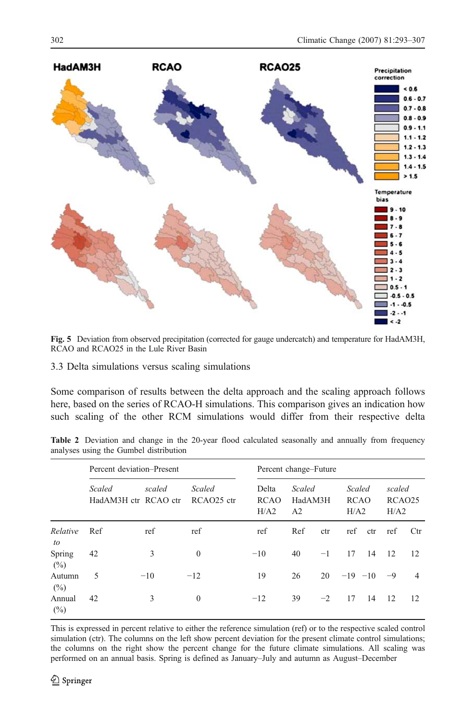<span id="page-9-0"></span>

Fig. 5 Deviation from observed precipitation (corrected for gauge undercatch) and temperature for HadAM3H, RCAO and RCAO25 in the Lule River Basin

3.3 Delta simulations versus scaling simulations

Some comparison of results between the delta approach and the scaling approach follows here, based on the series of RCAO-H simulations. This comparison gives an indication how such scaling of the other RCM simulations would differ from their respective delta

Table 2 Deviation and change in the 20-year flood calculated seasonally and annually from frequency analyses using the Gumbel distribution

|                | Percent deviation-Present      | Percent change–Future |                                  |                              |                                     |      |                                      |     |                                      |                |
|----------------|--------------------------------|-----------------------|----------------------------------|------------------------------|-------------------------------------|------|--------------------------------------|-----|--------------------------------------|----------------|
|                | Scaled<br>HadAM3H ctr RCAO ctr | scaled                | Scaled<br>RCAO <sub>25</sub> ctr | Delta<br><b>RCAO</b><br>H/A2 | Scaled<br>HadAM3H<br>A <sub>2</sub> |      | <b>Scaled</b><br><b>RCAO</b><br>H/A2 |     | scaled<br>RCAO <sub>25</sub><br>H/A2 |                |
| Relative<br>to | Ref                            | ref                   | ref                              | ref                          | Ref                                 | ctr  | ref                                  | ctr | ref                                  | Ctr            |
| Spring<br>(%)  | 42                             | 3                     | $\mathbf{0}$                     | $-10$                        | 40                                  | $-1$ | 17                                   | 14  | 12                                   | 12             |
| Autumn<br>(%)  | 5                              | $-10$                 | $-12$                            | 19                           | 26                                  | 20   | $-19 -10$                            |     | $-9$                                 | $\overline{4}$ |
| Annual<br>(%)  | 42                             | 3                     | $\mathbf{0}$                     | $-12$                        | 39                                  | $-2$ | 17                                   | 14  | 12                                   | 12             |

This is expressed in percent relative to either the reference simulation (ref) or to the respective scaled control simulation (ctr). The columns on the left show percent deviation for the present climate control simulations; the columns on the right show the percent change for the future climate simulations. All scaling was performed on an annual basis. Spring is defined as January–July and autumn as August–December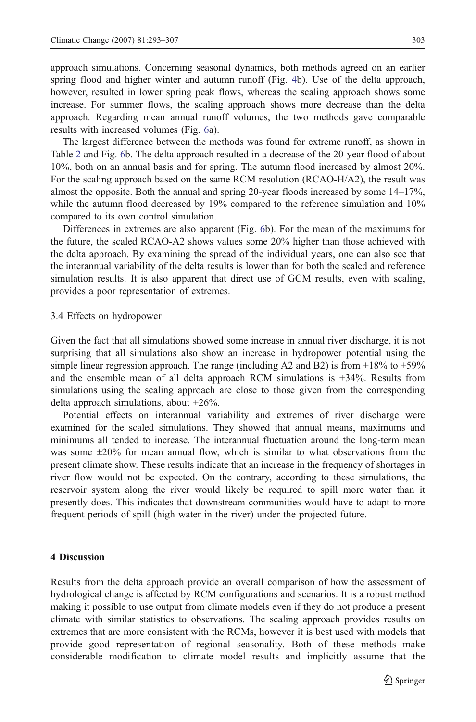approach simulations. Concerning seasonal dynamics, both methods agreed on an earlier spring flood and higher winter and autumn runoff (Fig. [4](#page-8-0)b). Use of the delta approach, however, resulted in lower spring peak flows, whereas the scaling approach shows some increase. For summer flows, the scaling approach shows more decrease than the delta approach. Regarding mean annual runoff volumes, the two methods gave comparable results with increased volumes (Fig. [6](#page-12-0)a).

The largest difference between the methods was found for extreme runoff, as shown in Table [2](#page-9-0) and Fig. [6b](#page-12-0). The delta approach resulted in a decrease of the 20-year flood of about 10%, both on an annual basis and for spring. The autumn flood increased by almost 20%. For the scaling approach based on the same RCM resolution (RCAO-H/A2), the result was almost the opposite. Both the annual and spring 20-year floods increased by some 14–17%, while the autumn flood decreased by 19% compared to the reference simulation and 10% compared to its own control simulation.

Differences in extremes are also apparent (Fig. [6b](#page-12-0)). For the mean of the maximums for the future, the scaled RCAO-A2 shows values some 20% higher than those achieved with the delta approach. By examining the spread of the individual years, one can also see that the interannual variability of the delta results is lower than for both the scaled and reference simulation results. It is also apparent that direct use of GCM results, even with scaling, provides a poor representation of extremes.

#### 3.4 Effects on hydropower

Given the fact that all simulations showed some increase in annual river discharge, it is not surprising that all simulations also show an increase in hydropower potential using the simple linear regression approach. The range (including A2 and B2) is from  $+18\%$  to  $+59\%$ and the ensemble mean of all delta approach RCM simulations is  $+34\%$ . Results from simulations using the scaling approach are close to those given from the corresponding delta approach simulations, about +26%.

Potential effects on interannual variability and extremes of river discharge were examined for the scaled simulations. They showed that annual means, maximums and minimums all tended to increase. The interannual fluctuation around the long-term mean was some  $\pm 20\%$  for mean annual flow, which is similar to what observations from the present climate show. These results indicate that an increase in the frequency of shortages in river flow would not be expected. On the contrary, according to these simulations, the reservoir system along the river would likely be required to spill more water than it presently does. This indicates that downstream communities would have to adapt to more frequent periods of spill (high water in the river) under the projected future.

## 4 Discussion

Results from the delta approach provide an overall comparison of how the assessment of hydrological change is affected by RCM configurations and scenarios. It is a robust method making it possible to use output from climate models even if they do not produce a present climate with similar statistics to observations. The scaling approach provides results on extremes that are more consistent with the RCMs, however it is best used with models that provide good representation of regional seasonality. Both of these methods make considerable modification to climate model results and implicitly assume that the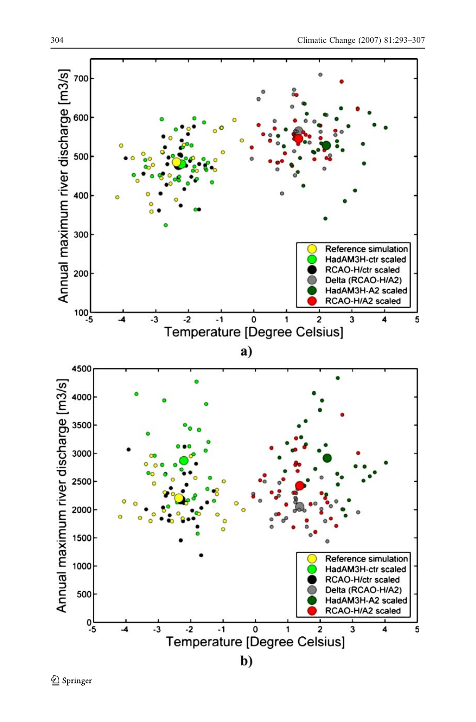

2 Springer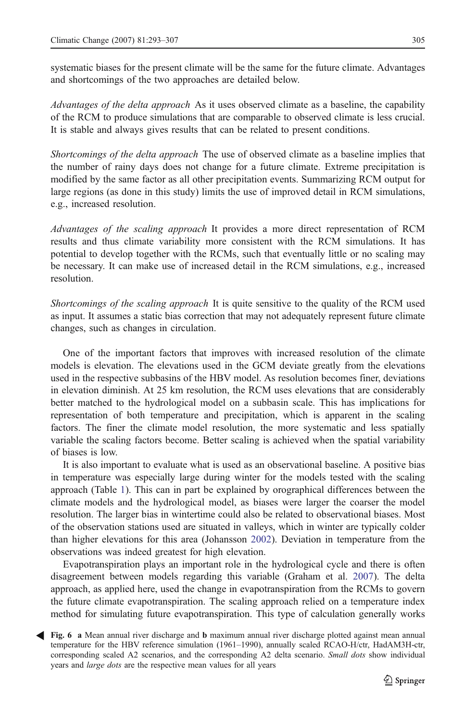<span id="page-12-0"></span>systematic biases for the present climate will be the same for the future climate. Advantages and shortcomings of the two approaches are detailed below.

Advantages of the delta approach As it uses observed climate as a baseline, the capability of the RCM to produce simulations that are comparable to observed climate is less crucial. It is stable and always gives results that can be related to present conditions.

Shortcomings of the delta approach The use of observed climate as a baseline implies that the number of rainy days does not change for a future climate. Extreme precipitation is modified by the same factor as all other precipitation events. Summarizing RCM output for large regions (as done in this study) limits the use of improved detail in RCM simulations, e.g., increased resolution.

Advantages of the scaling approach It provides a more direct representation of RCM results and thus climate variability more consistent with the RCM simulations. It has potential to develop together with the RCMs, such that eventually little or no scaling may be necessary. It can make use of increased detail in the RCM simulations, e.g., increased resolution.

Shortcomings of the scaling approach It is quite sensitive to the quality of the RCM used as input. It assumes a static bias correction that may not adequately represent future climate changes, such as changes in circulation.

One of the important factors that improves with increased resolution of the climate models is elevation. The elevations used in the GCM deviate greatly from the elevations used in the respective subbasins of the HBV model. As resolution becomes finer, deviations in elevation diminish. At 25 km resolution, the RCM uses elevations that are considerably better matched to the hydrological model on a subbasin scale. This has implications for representation of both temperature and precipitation, which is apparent in the scaling factors. The finer the climate model resolution, the more systematic and less spatially variable the scaling factors become. Better scaling is achieved when the spatial variability of biases is low.

It is also important to evaluate what is used as an observational baseline. A positive bias in temperature was especially large during winter for the models tested with the scaling approach (Table [1\)](#page-8-0). This can in part be explained by orographical differences between the climate models and the hydrological model, as biases were larger the coarser the model resolution. The larger bias in wintertime could also be related to observational biases. Most of the observation stations used are situated in valleys, which in winter are typically colder than higher elevations for this area (Johansson [2002\)](#page-14-0). Deviation in temperature from the observations was indeed greatest for high elevation.

Evapotranspiration plays an important role in the hydrological cycle and there is often disagreement between models regarding this variable (Graham et al. [2007\)](#page-14-0). The delta approach, as applied here, used the change in evapotranspiration from the RCMs to govern the future climate evapotranspiration. The scaling approach relied on a temperature index method for simulating future evapotranspiration. This type of calculation generally works

Fig. 6 a Mean annual river discharge and b maximum annual river discharge plotted against mean annual temperature for the HBV reference simulation (1961–1990), annually scaled RCAO-H/ctr, HadAM3H-ctr, corresponding scaled A2 scenarios, and the corresponding A2 delta scenario. Small dots show individual years and large dots are the respective mean values for all years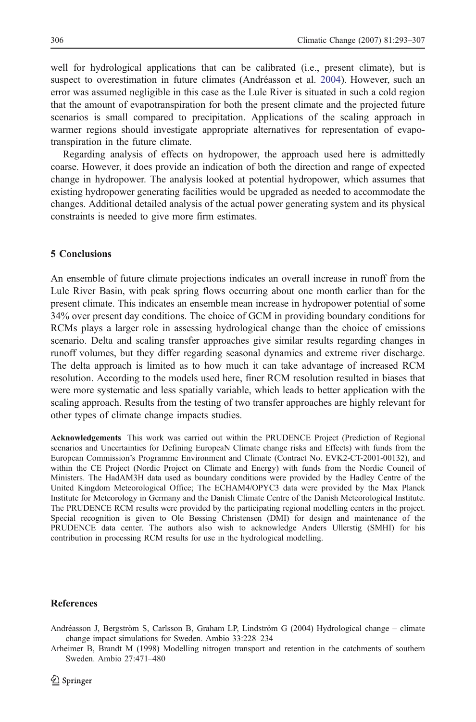<span id="page-13-0"></span>well for hydrological applications that can be calibrated (i.e., present climate), but is suspect to overestimation in future climates (Andréasson et al. 2004). However, such an error was assumed negligible in this case as the Lule River is situated in such a cold region that the amount of evapotranspiration for both the present climate and the projected future scenarios is small compared to precipitation. Applications of the scaling approach in warmer regions should investigate appropriate alternatives for representation of evapotranspiration in the future climate.

Regarding analysis of effects on hydropower, the approach used here is admittedly coarse. However, it does provide an indication of both the direction and range of expected change in hydropower. The analysis looked at potential hydropower, which assumes that existing hydropower generating facilities would be upgraded as needed to accommodate the changes. Additional detailed analysis of the actual power generating system and its physical constraints is needed to give more firm estimates.

#### 5 Conclusions

An ensemble of future climate projections indicates an overall increase in runoff from the Lule River Basin, with peak spring flows occurring about one month earlier than for the present climate. This indicates an ensemble mean increase in hydropower potential of some 34% over present day conditions. The choice of GCM in providing boundary conditions for RCMs plays a larger role in assessing hydrological change than the choice of emissions scenario. Delta and scaling transfer approaches give similar results regarding changes in runoff volumes, but they differ regarding seasonal dynamics and extreme river discharge. The delta approach is limited as to how much it can take advantage of increased RCM resolution. According to the models used here, finer RCM resolution resulted in biases that were more systematic and less spatially variable, which leads to better application with the scaling approach. Results from the testing of two transfer approaches are highly relevant for other types of climate change impacts studies.

Acknowledgements This work was carried out within the PRUDENCE Project (Prediction of Regional scenarios and Uncertainties for Defining EuropeaN Climate change risks and Effects) with funds from the European Commission's Programme Environment and Climate (Contract No. EVK2-CT-2001-00132), and within the CE Project (Nordic Project on Climate and Energy) with funds from the Nordic Council of Ministers. The HadAM3H data used as boundary conditions were provided by the Hadley Centre of the United Kingdom Meteorological Office; The ECHAM4/OPYC3 data were provided by the Max Planck Institute for Meteorology in Germany and the Danish Climate Centre of the Danish Meteorological Institute. The PRUDENCE RCM results were provided by the participating regional modelling centers in the project. Special recognition is given to Ole Bøssing Christensen (DMI) for design and maintenance of the PRUDENCE data center. The authors also wish to acknowledge Anders Ullerstig (SMHI) for his contribution in processing RCM results for use in the hydrological modelling.

#### References

Andréasson J, Bergström S, Carlsson B, Graham LP, Lindström G (2004) Hydrological change – climate change impact simulations for Sweden. Ambio 33:228–234

Arheimer B, Brandt M (1998) Modelling nitrogen transport and retention in the catchments of southern Sweden. Ambio 27:471–480